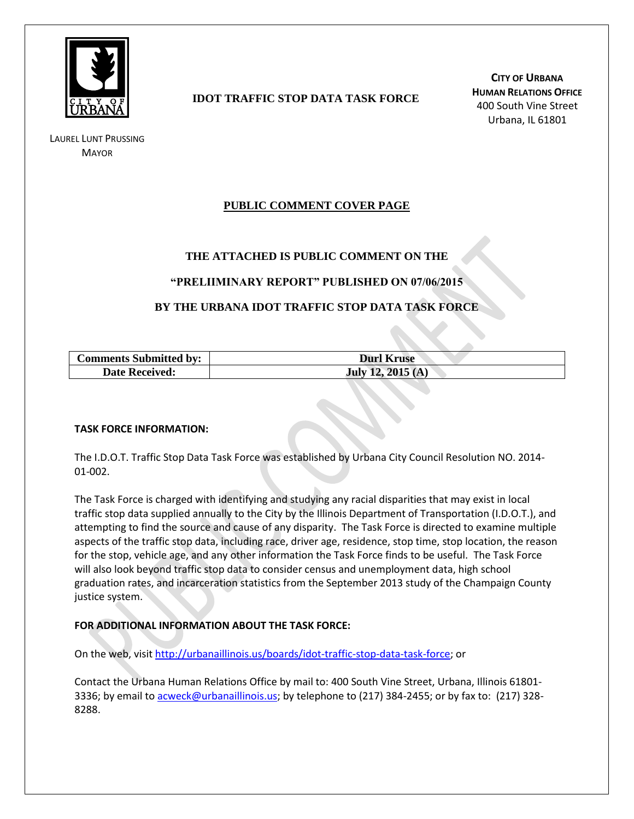

LAUREL LUNT PRUSSING **MAYOR** 

# **IDOT TRAFFIC STOP DATA TASK FORCE**

**CITY OF URBANA HUMAN RELATIONS OFFICE** 400 South Vine Street Urbana, IL 61801

# **PUBLIC COMMENT COVER PAGE**

## **THE ATTACHED IS PUBLIC COMMENT ON THE**

### **"PRELIIMINARY REPORT" PUBLISHED ON 07/06/2015**

## **BY THE URBANA IDOT TRAFFIC STOP DATA TASK FORCE**

| <b>Comments Submitted by:</b> | <b>Durl Kruse</b> |
|-------------------------------|-------------------|
| <b>Date Received:</b>         | July 12, 2015 (A) |

#### **TASK FORCE INFORMATION:**

The I.D.O.T. Traffic Stop Data Task Force was established by Urbana City Council Resolution NO. 2014- 01-002.

The Task Force is charged with identifying and studying any racial disparities that may exist in local traffic stop data supplied annually to the City by the Illinois Department of Transportation (I.D.O.T.), and attempting to find the source and cause of any disparity. The Task Force is directed to examine multiple aspects of the traffic stop data, including race, driver age, residence, stop time, stop location, the reason for the stop, vehicle age, and any other information the Task Force finds to be useful. The Task Force will also look beyond traffic stop data to consider census and unemployment data, high school graduation rates, and incarceration statistics from the September 2013 study of the Champaign County justice system.

#### **FOR ADDITIONAL INFORMATION ABOUT THE TASK FORCE:**

On the web, visit [http://urbanaillinois.us/boards/idot-traffic-stop-data-task-force;](http://urbanaillinois.us/boards/idot-traffic-stop-data-task-force) or

Contact the Urbana Human Relations Office by mail to: 400 South Vine Street, Urbana, Illinois 61801 3336; by email to [acweck@urbanaillinois.us;](mailto:acweck@urbanaillinois.us) by telephone to (217) 384-2455; or by fax to: (217) 328-8288.